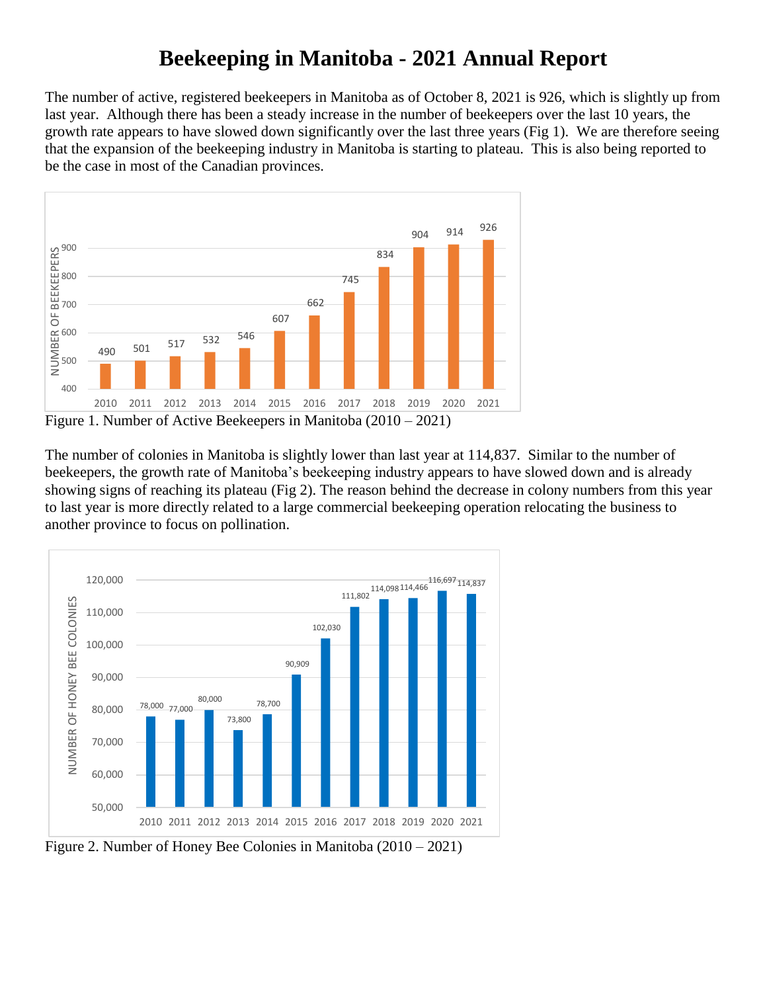## **Beekeeping in Manitoba - 2021 Annual Report**

The number of active, registered beekeepers in Manitoba as of October 8, 2021 is 926, which is slightly up from last year. Although there has been a steady increase in the number of beekeepers over the last 10 years, the growth rate appears to have slowed down significantly over the last three years (Fig 1). We are therefore seeing that the expansion of the beekeeping industry in Manitoba is starting to plateau. This is also being reported to be the case in most of the Canadian provinces.



The number of colonies in Manitoba is slightly lower than last year at 114,837. Similar to the number of beekeepers, the growth rate of Manitoba's beekeeping industry appears to have slowed down and is already showing signs of reaching its plateau (Fig 2). The reason behind the decrease in colony numbers from this year to last year is more directly related to a large commercial beekeeping operation relocating the business to another province to focus on pollination.



Figure 2. Number of Honey Bee Colonies in Manitoba (2010 – 2021)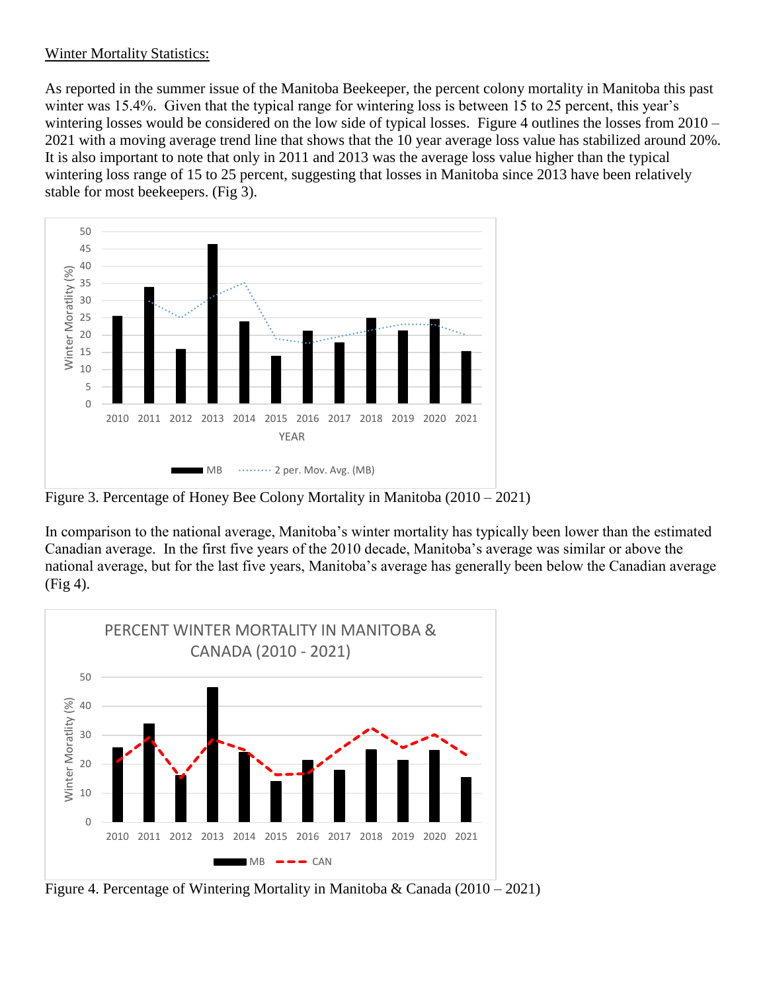## Winter Mortality Statistics:

As reported in the summer issue of the Manitoba Beekeeper, the percent colony mortality in Manitoba this past winter was 15.4%. Given that the typical range for wintering loss is between 15 to 25 percent, this year's wintering losses would be considered on the low side of typical losses. Figure 4 outlines the losses from 2010 – 2021 with a moving average trend line that shows that the 10 year average loss value has stabilized around 20%. It is also important to note that only in 2011 and 2013 was the average loss value higher than the typical wintering loss range of 15 to 25 percent, suggesting that losses in Manitoba since 2013 have been relatively stable for most beekeepers. (Fig 3).



Figure 3. Percentage of Honey Bee Colony Mortality in Manitoba (2010 – 2021)

In comparison to the national average, Manitoba's winter mortality has typically been lower than the estimated Canadian average. In the first five years of the 2010 decade, Manitoba's average was similar or above the national average, but for the last five years, Manitoba's average has generally been below the Canadian average (Fig 4).



Figure 4. Percentage of Wintering Mortality in Manitoba & Canada (2010 – 2021)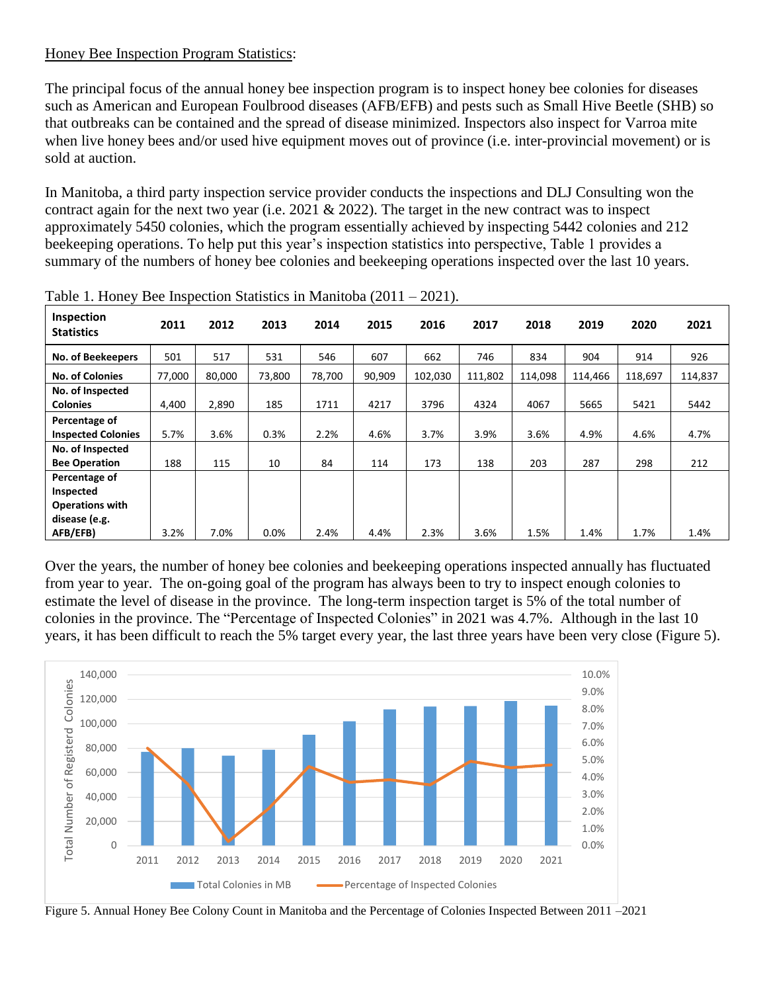## Honey Bee Inspection Program Statistics:

The principal focus of the annual honey bee inspection program is to inspect honey bee colonies for diseases such as American and European Foulbrood diseases (AFB/EFB) and pests such as Small Hive Beetle (SHB) so that outbreaks can be contained and the spread of disease minimized. Inspectors also inspect for Varroa mite when live honey bees and/or used hive equipment moves out of province (i.e. inter-provincial movement) or is sold at auction.

In Manitoba, a third party inspection service provider conducts the inspections and DLJ Consulting won the contract again for the next two year (i.e. 2021 & 2022). The target in the new contract was to inspect approximately 5450 colonies, which the program essentially achieved by inspecting 5442 colonies and 212 beekeeping operations. To help put this year's inspection statistics into perspective, Table 1 provides a summary of the numbers of honey bee colonies and beekeeping operations inspected over the last 10 years.

| Inspection<br><b>Statistics</b>                                       | 2011   | 2012   | 2013   | 2014   | 2015   | 2016    | 2017    | 2018    | 2019    | 2020    | 2021    |
|-----------------------------------------------------------------------|--------|--------|--------|--------|--------|---------|---------|---------|---------|---------|---------|
| No. of Beekeepers                                                     | 501    | 517    | 531    | 546    | 607    | 662     | 746     | 834     | 904     | 914     | 926     |
| <b>No. of Colonies</b>                                                | 77,000 | 80,000 | 73,800 | 78,700 | 90,909 | 102,030 | 111,802 | 114,098 | 114,466 | 118,697 | 114,837 |
| No. of Inspected<br><b>Colonies</b>                                   | 4,400  | 2,890  | 185    | 1711   | 4217   | 3796    | 4324    | 4067    | 5665    | 5421    | 5442    |
| Percentage of<br><b>Inspected Colonies</b>                            | 5.7%   | 3.6%   | 0.3%   | 2.2%   | 4.6%   | 3.7%    | 3.9%    | 3.6%    | 4.9%    | 4.6%    | 4.7%    |
| No. of Inspected<br><b>Bee Operation</b>                              | 188    | 115    | 10     | 84     | 114    | 173     | 138     | 203     | 287     | 298     | 212     |
| Percentage of<br>Inspected<br><b>Operations with</b><br>disease (e.g. |        |        |        |        |        |         |         |         |         |         |         |
| AFB/EFB)                                                              | 3.2%   | 7.0%   | 0.0%   | 2.4%   | 4.4%   | 2.3%    | 3.6%    | 1.5%    | 1.4%    | 1.7%    | 1.4%    |

Table 1. Honey Bee Inspection Statistics in Manitoba (2011 – 2021).

Over the years, the number of honey bee colonies and beekeeping operations inspected annually has fluctuated from year to year. The on-going goal of the program has always been to try to inspect enough colonies to estimate the level of disease in the province. The long-term inspection target is 5% of the total number of colonies in the province. The "Percentage of Inspected Colonies" in 2021 was 4.7%. Although in the last 10 years, it has been difficult to reach the 5% target every year, the last three years have been very close (Figure 5).



Figure 5. Annual Honey Bee Colony Count in Manitoba and the Percentage of Colonies Inspected Between 2011 –2021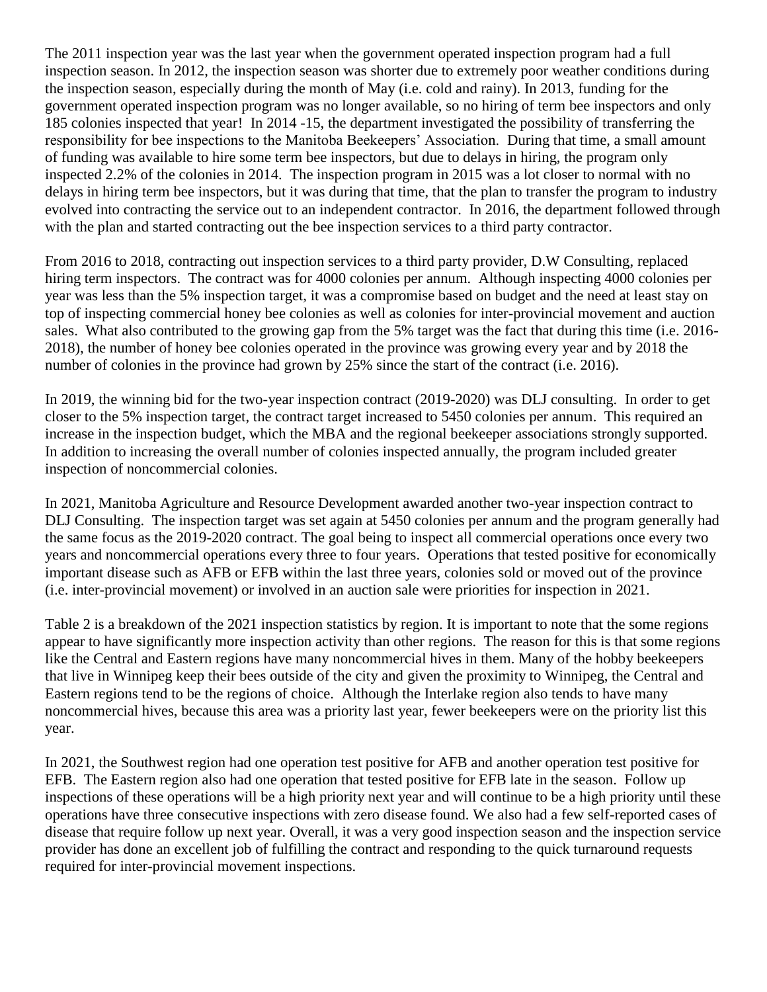The 2011 inspection year was the last year when the government operated inspection program had a full inspection season. In 2012, the inspection season was shorter due to extremely poor weather conditions during the inspection season, especially during the month of May (i.e. cold and rainy). In 2013, funding for the government operated inspection program was no longer available, so no hiring of term bee inspectors and only 185 colonies inspected that year! In 2014 -15, the department investigated the possibility of transferring the responsibility for bee inspections to the Manitoba Beekeepers' Association. During that time, a small amount of funding was available to hire some term bee inspectors, but due to delays in hiring, the program only inspected 2.2% of the colonies in 2014. The inspection program in 2015 was a lot closer to normal with no delays in hiring term bee inspectors, but it was during that time, that the plan to transfer the program to industry evolved into contracting the service out to an independent contractor. In 2016, the department followed through with the plan and started contracting out the bee inspection services to a third party contractor.

From 2016 to 2018, contracting out inspection services to a third party provider, D.W Consulting, replaced hiring term inspectors. The contract was for 4000 colonies per annum. Although inspecting 4000 colonies per year was less than the 5% inspection target, it was a compromise based on budget and the need at least stay on top of inspecting commercial honey bee colonies as well as colonies for inter-provincial movement and auction sales. What also contributed to the growing gap from the 5% target was the fact that during this time (i.e. 2016- 2018), the number of honey bee colonies operated in the province was growing every year and by 2018 the number of colonies in the province had grown by 25% since the start of the contract (i.e. 2016).

In 2019, the winning bid for the two-year inspection contract (2019-2020) was DLJ consulting. In order to get closer to the 5% inspection target, the contract target increased to 5450 colonies per annum. This required an increase in the inspection budget, which the MBA and the regional beekeeper associations strongly supported. In addition to increasing the overall number of colonies inspected annually, the program included greater inspection of noncommercial colonies.

In 2021, Manitoba Agriculture and Resource Development awarded another two-year inspection contract to DLJ Consulting. The inspection target was set again at 5450 colonies per annum and the program generally had the same focus as the 2019-2020 contract. The goal being to inspect all commercial operations once every two years and noncommercial operations every three to four years. Operations that tested positive for economically important disease such as AFB or EFB within the last three years, colonies sold or moved out of the province (i.e. inter-provincial movement) or involved in an auction sale were priorities for inspection in 2021.

Table 2 is a breakdown of the 2021 inspection statistics by region. It is important to note that the some regions appear to have significantly more inspection activity than other regions. The reason for this is that some regions like the Central and Eastern regions have many noncommercial hives in them. Many of the hobby beekeepers that live in Winnipeg keep their bees outside of the city and given the proximity to Winnipeg, the Central and Eastern regions tend to be the regions of choice. Although the Interlake region also tends to have many noncommercial hives, because this area was a priority last year, fewer beekeepers were on the priority list this year.

In 2021, the Southwest region had one operation test positive for AFB and another operation test positive for EFB. The Eastern region also had one operation that tested positive for EFB late in the season. Follow up inspections of these operations will be a high priority next year and will continue to be a high priority until these operations have three consecutive inspections with zero disease found. We also had a few self-reported cases of disease that require follow up next year. Overall, it was a very good inspection season and the inspection service provider has done an excellent job of fulfilling the contract and responding to the quick turnaround requests required for inter-provincial movement inspections.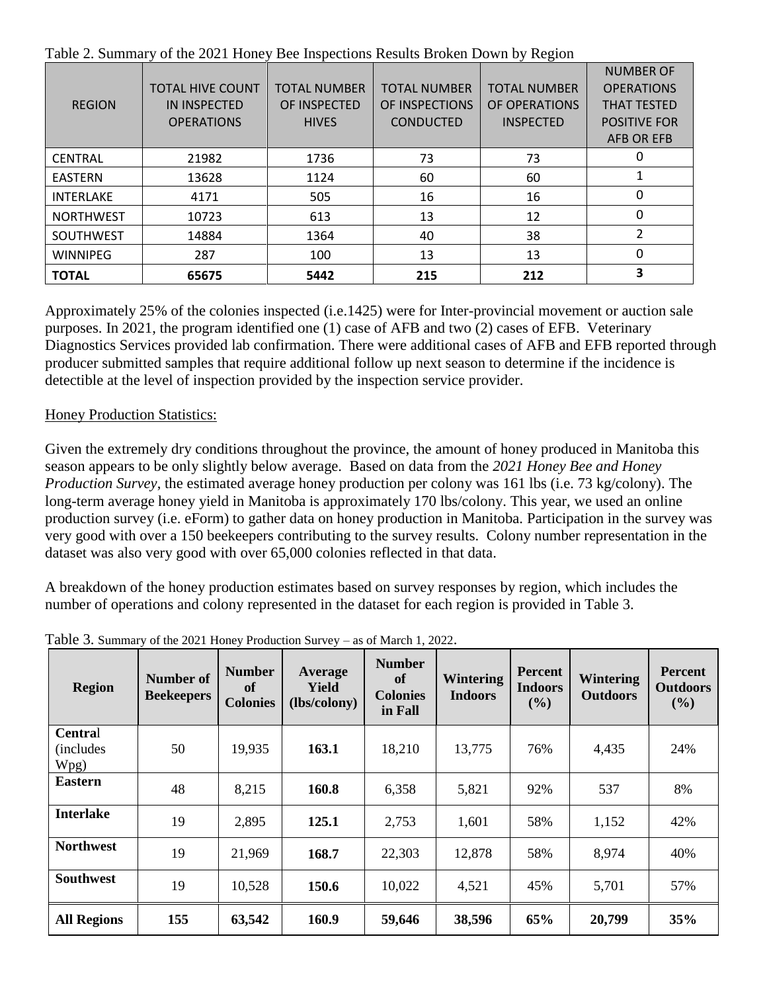|                  |                         |                     |                     | $\overline{\phantom{a}}$ | <b>NUMBER OF</b>    |
|------------------|-------------------------|---------------------|---------------------|--------------------------|---------------------|
|                  | <b>TOTAL HIVE COUNT</b> | <b>TOTAL NUMBER</b> | <b>TOTAL NUMBER</b> | <b>TOTAL NUMBER</b>      | <b>OPERATIONS</b>   |
| <b>REGION</b>    | <b>IN INSPECTED</b>     | OF INSPECTED        | OF INSPECTIONS      | OF OPERATIONS            | <b>THAT TESTED</b>  |
|                  | <b>OPERATIONS</b>       | <b>HIVES</b>        | <b>CONDUCTED</b>    | <b>INSPECTED</b>         | <b>POSITIVE FOR</b> |
|                  |                         |                     |                     |                          | AFB OR EFB          |
| <b>CENTRAL</b>   | 21982                   | 1736                | 73                  | 73                       | 0                   |
| <b>EASTERN</b>   | 13628                   | 1124                | 60                  | 60                       |                     |
| <b>INTERLAKE</b> | 4171                    | 505                 | 16                  | 16                       | 0                   |
| <b>NORTHWEST</b> | 10723                   | 613                 | 13                  | 12                       | 0                   |
| <b>SOUTHWEST</b> | 14884                   | 1364                | 40                  | 38                       | $\mathfrak{p}$      |
| <b>WINNIPEG</b>  | 287                     | 100                 | 13                  | 13                       | $\Omega$            |
| <b>TOTAL</b>     | 65675                   | 5442                | 215                 | 212                      | 3                   |

Table 2. Summary of the 2021 Honey Bee Inspections Results Broken Down by Region

Approximately 25% of the colonies inspected (i.e.1425) were for Inter-provincial movement or auction sale purposes. In 2021, the program identified one (1) case of AFB and two (2) cases of EFB. Veterinary Diagnostics Services provided lab confirmation. There were additional cases of AFB and EFB reported through producer submitted samples that require additional follow up next season to determine if the incidence is detectible at the level of inspection provided by the inspection service provider.

## Honey Production Statistics:

Given the extremely dry conditions throughout the province, the amount of honey produced in Manitoba this season appears to be only slightly below average. Based on data from the *2021 Honey Bee and Honey Production Survey*, the estimated average honey production per colony was 161 lbs (i.e. 73 kg/colony). The long-term average honey yield in Manitoba is approximately 170 lbs/colony. This year, we used an online production survey (i.e. eForm) to gather data on honey production in Manitoba. Participation in the survey was very good with over a 150 beekeepers contributing to the survey results. Colony number representation in the dataset was also very good with over 65,000 colonies reflected in that data.

A breakdown of the honey production estimates based on survey responses by region, which includes the number of operations and colony represented in the dataset for each region is provided in Table 3.

| <b>Region</b>                               | Number of<br><b>Beekeepers</b> | <b>Number</b><br>of<br><b>Colonies</b> | Average<br>Yield<br>(lbs/colony) | <b>Number</b><br>of<br><b>Colonies</b><br>in Fall | <b>Wintering</b><br><b>Indoors</b> | <b>Percent</b><br><b>Indoors</b><br>(%) | Wintering<br><b>Outdoors</b> | <b>Percent</b><br><b>Outdoors</b><br>(%) |
|---------------------------------------------|--------------------------------|----------------------------------------|----------------------------------|---------------------------------------------------|------------------------------------|-----------------------------------------|------------------------------|------------------------------------------|
| <b>Central</b><br><i>(includes)</i><br>Wpg) | 50                             | 19,935                                 | 163.1                            | 18,210                                            | 13,775                             | 76%                                     | 4,435                        | 24%                                      |
| <b>Eastern</b>                              | 48                             | 8,215                                  | 160.8                            | 6,358                                             | 5,821                              | 92%                                     | 537                          | 8%                                       |
| <b>Interlake</b>                            | 19                             | 2,895                                  | 125.1                            | 2,753                                             | 1,601                              | 58%                                     | 1,152                        | 42%                                      |
| <b>Northwest</b>                            | 19                             | 21,969                                 | 168.7                            | 22,303                                            | 12,878                             | 58%                                     | 8,974                        | 40%                                      |
| <b>Southwest</b>                            | 19                             | 10,528                                 | 150.6                            | 10,022                                            | 4,521                              | 45%                                     | 5,701                        | 57%                                      |
| <b>All Regions</b>                          | 155                            | 63,542                                 | 160.9                            | 59,646                                            | 38,596                             | 65%                                     | 20,799                       | 35%                                      |

Table 3. Summary of the 2021 Honey Production Survey – as of March 1, 2022.